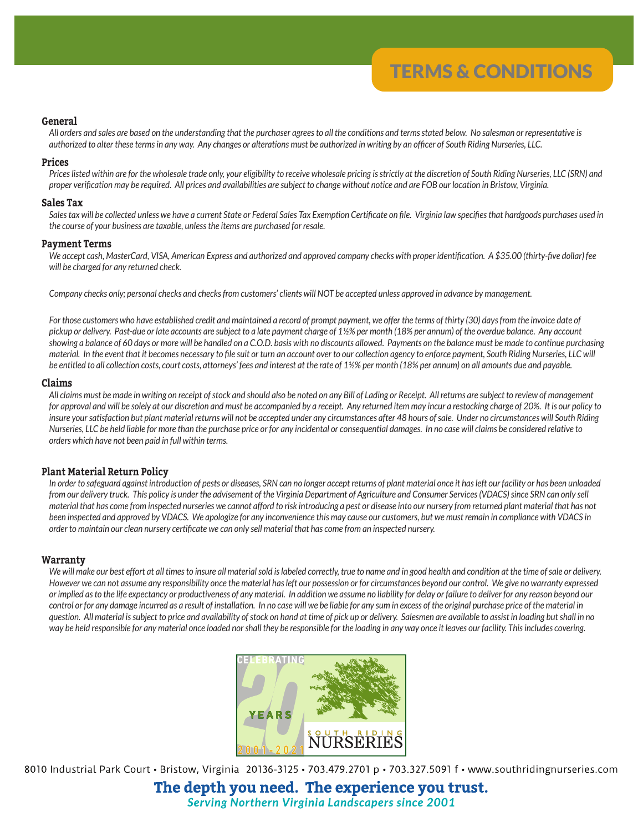# **General**

*All orders and sales are based on the understanding that the purchaser agrees to all the conditions and terms stated below. No salesman or representative is authorized to alter these terms in any way. Any changes or alterations must be authorized in writing by an officer of South Riding Nurseries, LLC.*

#### **Prices**

*Prices listed within are for the wholesale trade only, your eligibility to receive wholesale pricing is strictly at the discretion of South Riding Nurseries, LLC (SRN) and proper verification may be required. All prices and availabilities are subject to change without notice and are FOB our location in Bristow, Virginia.*

#### **Sales Tax**

Sales tax will be collected unless we have a current State or Federal Sales Tax Exemption Certificate on file. Virginia law specifies that hardgoods purchases used in *the course of your business are taxable, unless the items are purchased for resale.*

#### **Payment Terms**

*We accept cash, MasterCard, VISA, American Express and authorized and approved company checks with proper identification. A \$35.00 (thirty-five dollar) fee will be charged for any returned check.* 

*Company checks only; personal checks and checks from customers' clients will NOT be accepted unless approved in advance by management.*

For those customers who have established credit and maintained a record of prompt payment, we offer the terms of thirty (30) days from the invoice date of *pickup or delivery. Past-due or late accounts are subject to a late payment charge of 1½% per month (18% per annum) of the overdue balance. Any account showing a balance of 60 days or more will be handled on a C.O.D. basis with no discounts allowed. Payments on the balance must be made to continue purchasing material. In the event that it becomes necessary to file suit or turn an account over to our collection agency to enforce payment, South Riding Nurseries, LLC will be entitled to all collection costs, court costs, attorneys' fees and interest at the rate of 1½% per month (18% per annum) on all amounts due and payable.*

### **Claims**

*All claims must be made in writing on receipt of stock and should also be noted on any Bill of Lading or Receipt. All returns are subject to review of management for approval and will be solely at our discretion and must be accompanied by a receipt. Any returned item may incur a restocking charge of 20%. It is our policy to insure your satisfaction but plant material returns will not be accepted under any circumstances after 48 hours of sale. Under no circumstances will South Riding Nurseries, LLC be held liable for more than the purchase price or for any incidental or consequential damages. In no case will claims be considered relative to orders which have not been paid in full within terms.*

#### **Plant Material Return Policy**

*In order to safeguard against introduction of pests or diseases, SRN can no longer accept returns of plant material once it has left our facility or has been unloaded from our delivery truck. This policy is under the advisement of the Virginia Department of Agriculture and Consumer Services (VDACS) since SRN can only sell material that has come from inspected nurseries we cannot afford to risk introducing a pest or disease into our nursery from returned plant material that has not been inspected and approved by VDACS. We apologize for any inconvenience this may cause our customers, but we must remain in compliance with VDACS in order to maintain our clean nursery certificate we can only sell material that has come from an inspected nursery.*

### **Warranty**

We will make our best effort at all times to insure all material sold is labeled correctly, true to name and in good health and condition at the time of sale or delivery. *However we can not assume any responsibility once the material has left our possession or for circumstances beyond our control. We give no warranty expressed or implied as to the life expectancy or productiveness of any material. In addition we assume no liability for delay or failure to deliver for any reason beyond our control or for any damage incurred as a result of installation. In no case will we be liable for any sum in excess of the original purchase price of the material in question. All material is subject to price and availability of stock on hand at time of pick up or delivery. Salesmen are available to assist in loading but shall in no way be held responsible for any material once loaded nor shall they be responsible for the loading in any way once it leaves our facility. This includes covering.*



8010 Industrial Park Court · Bristow, Virginia 20136-3125 · 703.479.2701 p · 703.327.5091 f · www.southridingnurseries.com

The depth you need. The experience you trust. **Serving Northern Virginia Landscapers since 2001**